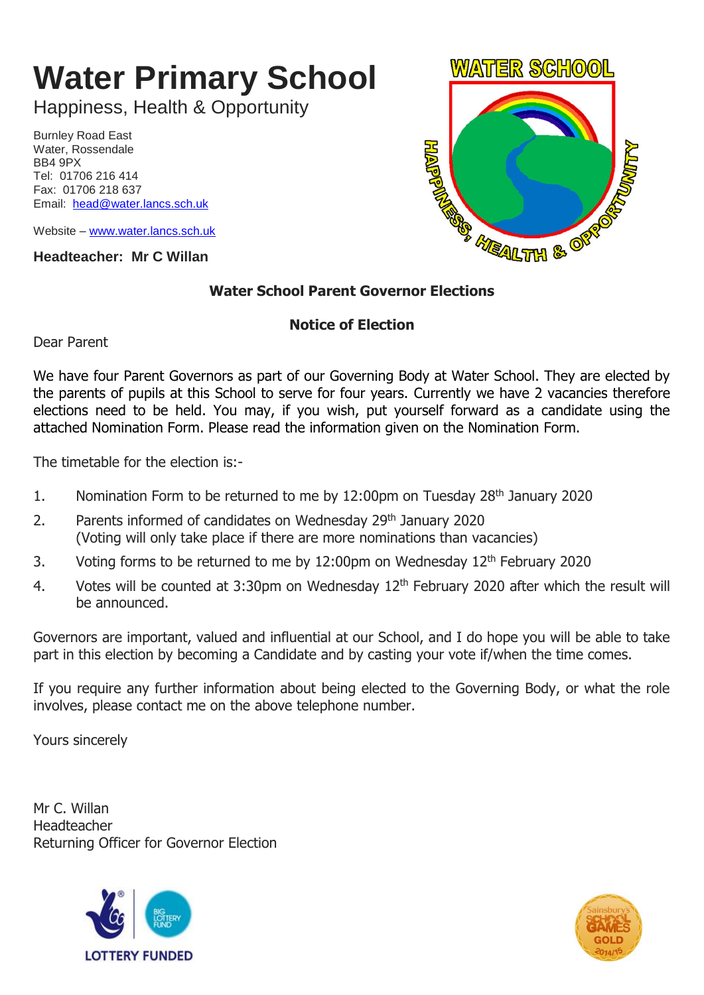# **Water Primary School**

Happiness, Health & Opportunity

Burnley Road East Water, Rossendale BB4 9PX Tel: 01706 216 414 Fax: 01706 218 637 Email: [head@water.lancs.sch.uk](mailto:head@water.lancs.sch.uk)

Website – [www.water.lancs.sch.uk](http://www.water.lancs.sch.uk/)

## **Headteacher: Mr C Willan**



# **Water School Parent Governor Elections**

## **Notice of Election**

Dear Parent

We have four Parent Governors as part of our Governing Body at Water School. They are elected by the parents of pupils at this School to serve for four years. Currently we have 2 vacancies therefore elections need to be held. You may, if you wish, put yourself forward as a candidate using the attached Nomination Form. Please read the information given on the Nomination Form.

The timetable for the election is:-

- 1. Nomination Form to be returned to me by 12:00pm on Tuesday 28<sup>th</sup> January 2020
- 2. Parents informed of candidates on Wednesday 29th January 2020 (Voting will only take place if there are more nominations than vacancies)
- 3. Voting forms to be returned to me by 12:00pm on Wednesday  $12<sup>th</sup>$  February 2020
- 4. Votes will be counted at 3:30pm on Wednesday 12<sup>th</sup> February 2020 after which the result will be announced.

Governors are important, valued and influential at our School, and I do hope you will be able to take part in this election by becoming a Candidate and by casting your vote if/when the time comes.

If you require any further information about being elected to the Governing Body, or what the role involves, please contact me on the above telephone number.

Yours sincerely

Mr C. Willan Headteacher Returning Officer for Governor Election



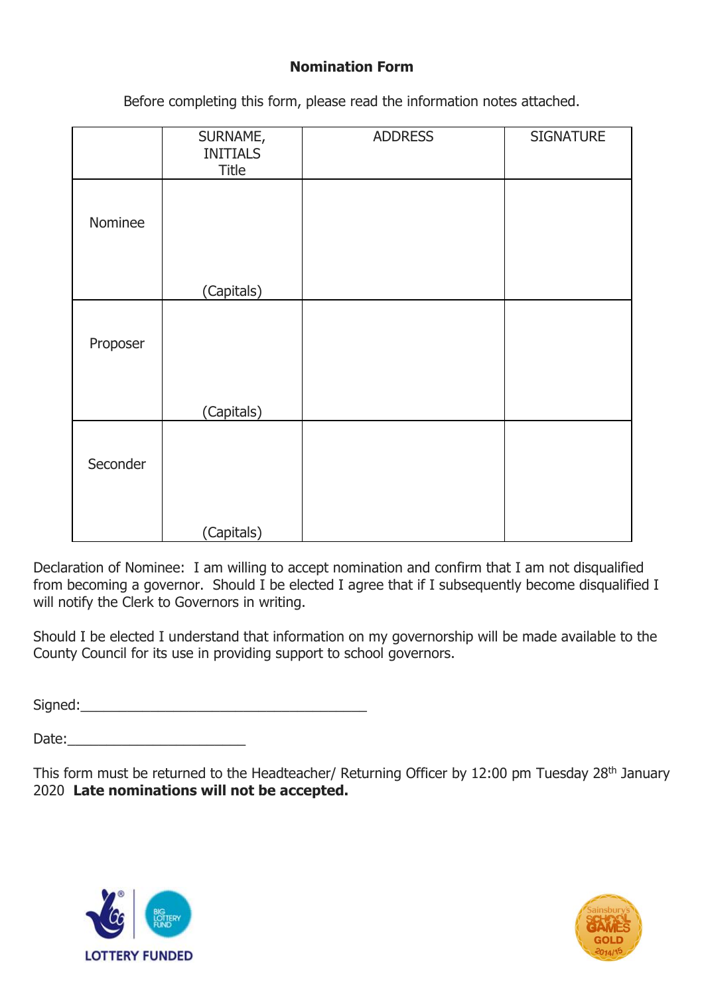## **Nomination Form**

Before completing this form, please read the information notes attached.

|          | SURNAME,<br><b>INITIALS</b><br>Title | <b>ADDRESS</b> | <b>SIGNATURE</b> |
|----------|--------------------------------------|----------------|------------------|
| Nominee  |                                      |                |                  |
|          | (Capitals)                           |                |                  |
| Proposer |                                      |                |                  |
|          | (Capitals)                           |                |                  |
| Seconder |                                      |                |                  |
|          | (Capitals)                           |                |                  |

Declaration of Nominee: I am willing to accept nomination and confirm that I am not disqualified from becoming a governor. Should I be elected I agree that if I subsequently become disqualified I will notify the Clerk to Governors in writing.

Should I be elected I understand that information on my governorship will be made available to the County Council for its use in providing support to school governors.

Signed:\_\_\_\_\_\_\_\_\_\_\_\_\_\_\_\_\_\_\_\_\_\_\_\_\_\_\_\_\_\_\_\_\_\_\_\_\_

Date:

This form must be returned to the Headteacher/ Returning Officer by 12:00 pm Tuesday 28<sup>th</sup> January 2020 **Late nominations will not be accepted.**



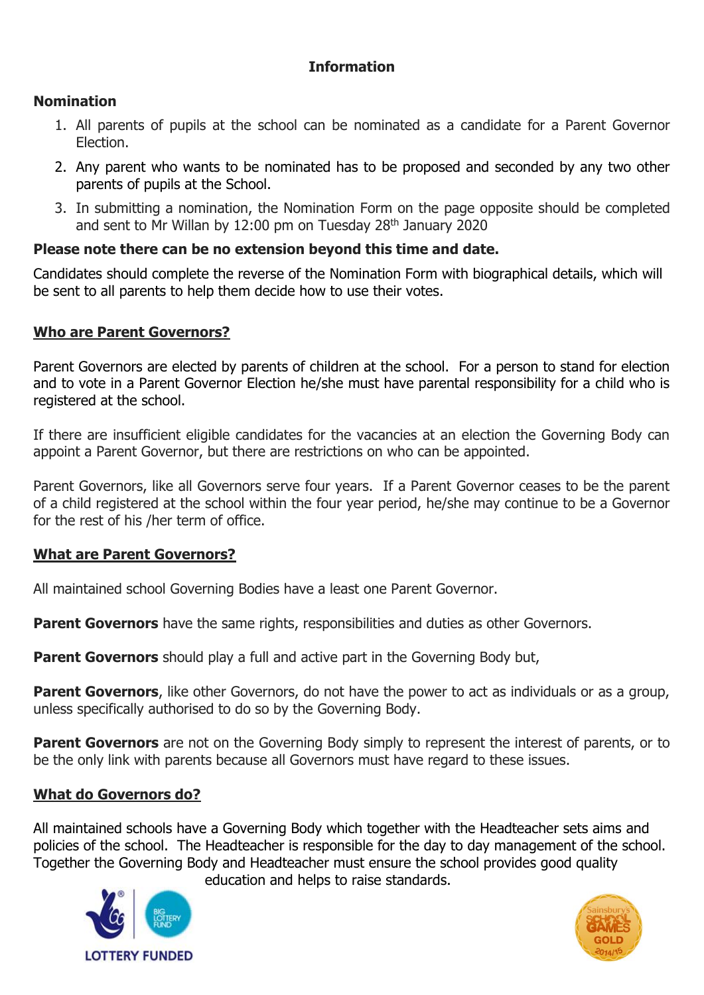# **Information**

### **Nomination**

- 1. All parents of pupils at the school can be nominated as a candidate for a Parent Governor Election.
- 2. Any parent who wants to be nominated has to be proposed and seconded by any two other parents of pupils at the School.
- 3. In submitting a nomination, the Nomination Form on the page opposite should be completed and sent to Mr Willan by 12:00 pm on Tuesday 28<sup>th</sup> January 2020

#### **Please note there can be no extension beyond this time and date.**

Candidates should complete the reverse of the Nomination Form with biographical details, which will be sent to all parents to help them decide how to use their votes.

#### **Who are Parent Governors?**

Parent Governors are elected by parents of children at the school. For a person to stand for election and to vote in a Parent Governor Election he/she must have parental responsibility for a child who is registered at the school.

If there are insufficient eligible candidates for the vacancies at an election the Governing Body can appoint a Parent Governor, but there are restrictions on who can be appointed.

Parent Governors, like all Governors serve four years. If a Parent Governor ceases to be the parent of a child registered at the school within the four year period, he/she may continue to be a Governor for the rest of his /her term of office.

#### **What are Parent Governors?**

All maintained school Governing Bodies have a least one Parent Governor.

**Parent Governors** have the same rights, responsibilities and duties as other Governors.

**Parent Governors** should play a full and active part in the Governing Body but,

**Parent Governors**, like other Governors, do not have the power to act as individuals or as a group, unless specifically authorised to do so by the Governing Body.

**Parent Governors** are not on the Governing Body simply to represent the interest of parents, or to be the only link with parents because all Governors must have regard to these issues.

#### **What do Governors do?**

All maintained schools have a Governing Body which together with the Headteacher sets aims and policies of the school. The Headteacher is responsible for the day to day management of the school. Together the Governing Body and Headteacher must ensure the school provides good quality education and helps to raise standards.



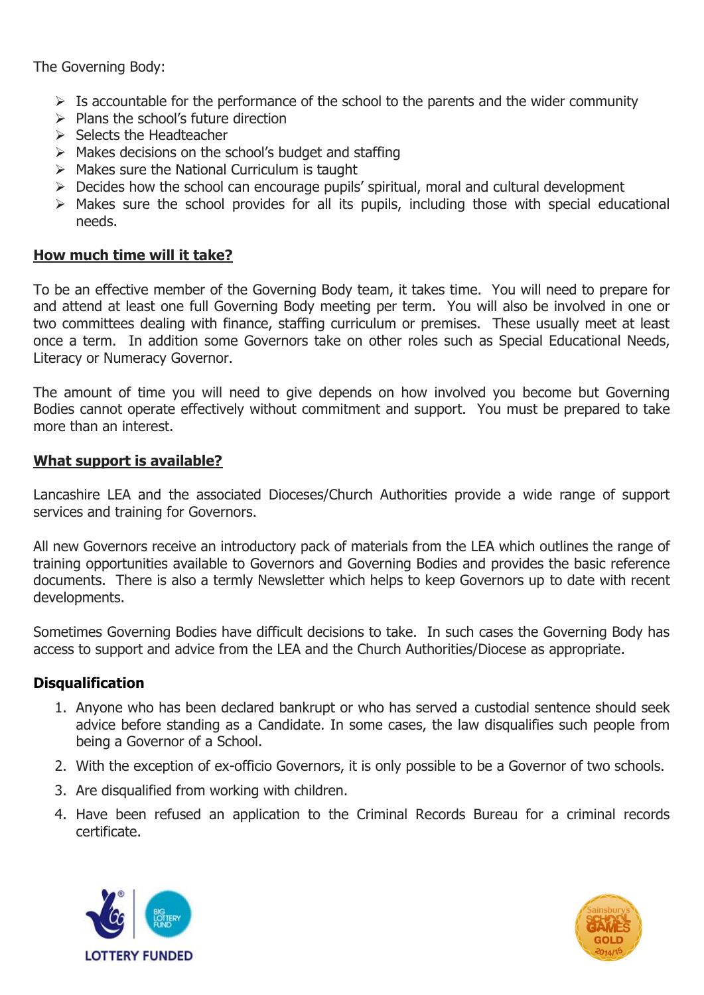The Governing Body:

- $\triangleright$  Is accountable for the performance of the school to the parents and the wider community
- $\triangleright$  Plans the school's future direction
- $\triangleright$  Selects the Headteacher
- $\triangleright$  Makes decisions on the school's budget and staffing
- $\triangleright$  Makes sure the National Curriculum is taught
- $\triangleright$  Decides how the school can encourage pupils' spiritual, moral and cultural development
- $\triangleright$  Makes sure the school provides for all its pupils, including those with special educational needs.

#### **How much time will it take?**

To be an effective member of the Governing Body team, it takes time. You will need to prepare for and attend at least one full Governing Body meeting per term. You will also be involved in one or two committees dealing with finance, staffing curriculum or premises. These usually meet at least once a term. In addition some Governors take on other roles such as Special Educational Needs, Literacy or Numeracy Governor.

The amount of time you will need to give depends on how involved you become but Governing Bodies cannot operate effectively without commitment and support. You must be prepared to take more than an interest.

#### **What support is available?**

Lancashire LEA and the associated Dioceses/Church Authorities provide a wide range of support services and training for Governors.

All new Governors receive an introductory pack of materials from the LEA which outlines the range of training opportunities available to Governors and Governing Bodies and provides the basic reference documents. There is also a termly Newsletter which helps to keep Governors up to date with recent developments.

Sometimes Governing Bodies have difficult decisions to take. In such cases the Governing Body has access to support and advice from the LEA and the Church Authorities/Diocese as appropriate.

#### **Disqualification**

- 1. Anyone who has been declared bankrupt or who has served a custodial sentence should seek advice before standing as a Candidate. In some cases, the law disqualifies such people from being a Governor of a School.
- 2. With the exception of ex-officio Governors, it is only possible to be a Governor of two schools.
- 3. Are disqualified from working with children.
- 4. Have been refused an application to the Criminal Records Bureau for a criminal records certificate.